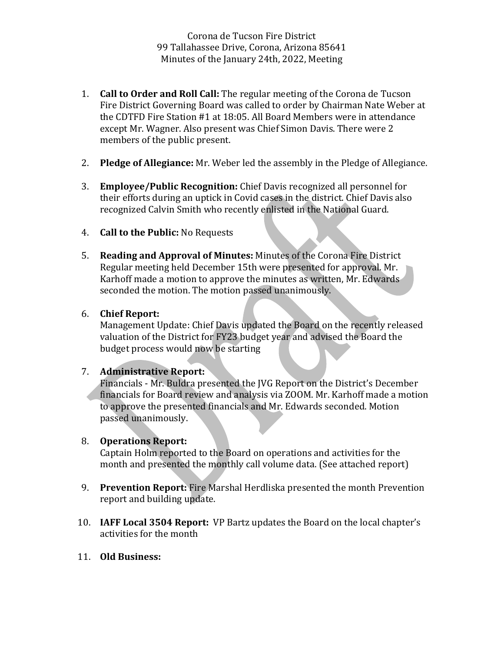Corona de Tucson Fire District 99 Tallahassee Drive, Corona, Arizona 85641 Minutes of the January 24th, 2022, Meeting

- 1. **Call to Order and Roll Call:** The regular meeting of the Corona de Tucson Fire District Governing Board was called to order by Chairman Nate Weber at the CDTFD Fire Station  $#1$  at 18:05. All Board Members were in attendance except Mr. Wagner. Also present was Chief Simon Davis. There were 2 members of the public present.
- 2. **Pledge of Allegiance:** Mr. Weber led the assembly in the Pledge of Allegiance.
- 3. **Employee/Public Recognition:** Chief Davis recognized all personnel for their efforts during an uptick in Covid cases in the district. Chief Davis also recognized Calvin Smith who recently enlisted in the National Guard.
- 4. **Call to the Public:** No Requests
- 5. **Reading and Approval of Minutes:** Minutes of the Corona Fire District Regular meeting held December 15th were presented for approval. Mr. Karhoff made a motion to approve the minutes as written, Mr. Edwards seconded the motion. The motion passed unanimously.

## 6. **Chief Report:**

Management Update: Chief Davis updated the Board on the recently released valuation of the District for FY23 budget year and advised the Board the budget process would now be starting

## 7. **Administrative Report:**

Financials - Mr. Buldra presented the JVG Report on the District's December financials for Board review and analysis via ZOOM. Mr. Karhoff made a motion to approve the presented financials and Mr. Edwards seconded. Motion passed unanimously.

## 8. **Operations Report:**

Captain Holm reported to the Board on operations and activities for the month and presented the monthly call volume data. (See attached report)

- 9. **Prevention Report:** Fire Marshal Herdliska presented the month Prevention report and building update.
- 10. **IAFF Local 3504 Report:** VP Bartz updates the Board on the local chapter's activities for the month
- 11. **Old Business:**